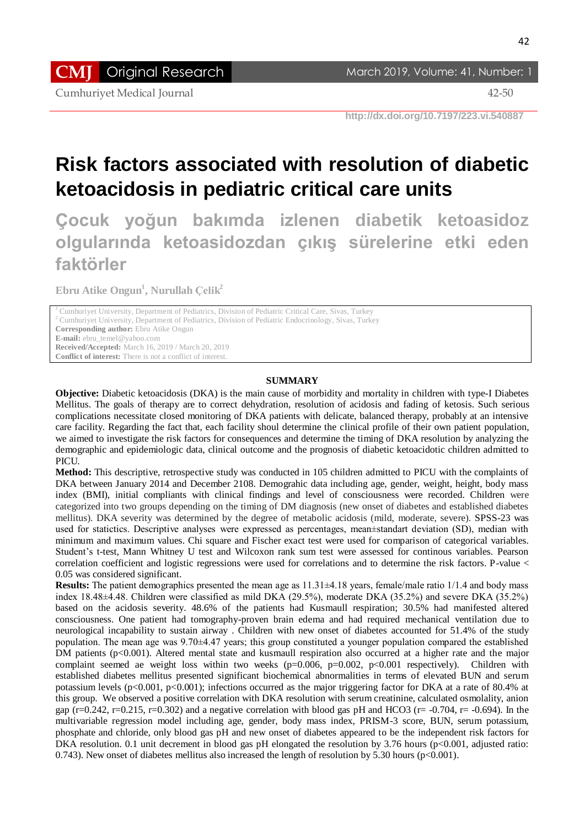**CMJ** Original Research March 2019, Volume: 41, Number: 1

Cumhuriyet Medical Journal 42-50

 **http://dx.doi.org/10.7197/223.vi.540887**

# **Risk factors associated with resolution of diabetic ketoacidosis in pediatric critical care units**

**Çocuk yoğun bakımda izlenen diabetik ketoasidoz olgularında ketoasidozdan çıkış sürelerine etki eden faktörler**

**Ebru Atike Ongun<sup>1</sup> , Nurullah Çelik<sup>2</sup>**

<sup>1</sup> Cumhuriyet University, Department of Pediatrics, Division of Pediatric Critical Care, Sivas, Turkey

<sup>2</sup>Cumhuriyet University, Department of Pediatrics, Division of Pediatric Endocrinology, Sivas, Turkey

**Corresponding author:** Ebru Atike Ongun

**E-mail:** ebru\_temel@yahoo.com

**Received/Accepted:** March 16, 2019 / March 20, 2019

**Conflict of interest:** There is not a conflict of interest.

### **SUMMARY**

**Objective:** Diabetic ketoacidosis (DKA) is the main cause of morbidity and mortality in children with type-I Diabetes Mellitus. The goals of therapy are to correct dehydration, resolution of acidosis and fading of ketosis. Such serious complications necessitate closed monitoring of DKA patients with delicate, balanced therapy, probably at an intensive care facility. Regarding the fact that, each facility shoul determine the clinical profile of their own patient population, we aimed to investigate the risk factors for consequences and determine the timing of DKA resolution by analyzing the demographic and epidemiologic data, clinical outcome and the prognosis of diabetic ketoacidotic children admitted to PICU.

**Method:** This descriptive, retrospective study was conducted in 105 children admitted to PICU with the complaints of DKA between January 2014 and December 2108. Demograhic data including age, gender, weight, height, body mass index (BMI), initial compliants with clinical findings and level of consciousness were recorded. Children were categorized into two groups depending on the timing of DM diagnosis (new onset of diabetes and established diabetes mellitus). DKA severity was determined by the degree of metabolic acidosis (mild, moderate, severe). SPSS-23 was used for statictics. Descriptive analyses were expressed as percentages, mean±standart deviation (SD), median with minimum and maximum values. Chi square and Fischer exact test were used for comparison of categorical variables. Student's t-test, Mann Whitney U test and Wilcoxon rank sum test were assessed for continous variables. Pearson correlation coefficient and logistic regressions were used for correlations and to determine the risk factors. P-value < 0.05 was considered significant.

**Results:** The patient demographics presented the mean age as 11.31±4.18 years, female/male ratio 1/1.4 and body mass index 18.48±4.48. Children were classified as mild DKA (29.5%), moderate DKA (35.2%) and severe DKA (35.2%) based on the acidosis severity. 48.6% of the patients had Kusmaull respiration; 30.5% had manifested altered consciousness. One patient had tomography-proven brain edema and had required mechanical ventilation due to neurological incapability to sustain airway . Children with new onset of diabetes accounted for 51.4% of the study population. The mean age was 9.70±4.47 years; this group constituted a younger population compared the established DM patients ( $p<0.001$ ). Altered mental state and kusmaull respiration also occurred at a higher rate and the major complaint seemed ae weight loss within two weeks ( $p=0.006$ ,  $p=0.002$ ,  $p<0.001$  respectively). Children with established diabetes mellitus presented significant biochemical abnormalities in terms of elevated BUN and serum potassium levels (p<0.001, p<0.001); infections occurred as the major triggering factor for DKA at a rate of 80.4% at this group. We observed a positive correlation with DKA resolution with serum creatinine, calculated osmolality, anion gap ( $r=0.242$ ,  $r=0.215$ ,  $r=0.302$ ) and a negative correlation with blood gas pH and HCO3 ( $r=-0.704$ ,  $r=-0.694$ ). In the multivariable regression model including age, gender, body mass index, PRISM-3 score, BUN, serum potassium, phosphate and chloride, only blood gas pH and new onset of diabetes appeared to be the independent risk factors for DKA resolution. 0.1 unit decrement in blood gas pH elongated the resolution by 3.76 hours (p<0.001, adjusted ratio: 0.743). New onset of diabetes mellitus also increased the length of resolution by 5.30 hours (p<0.001).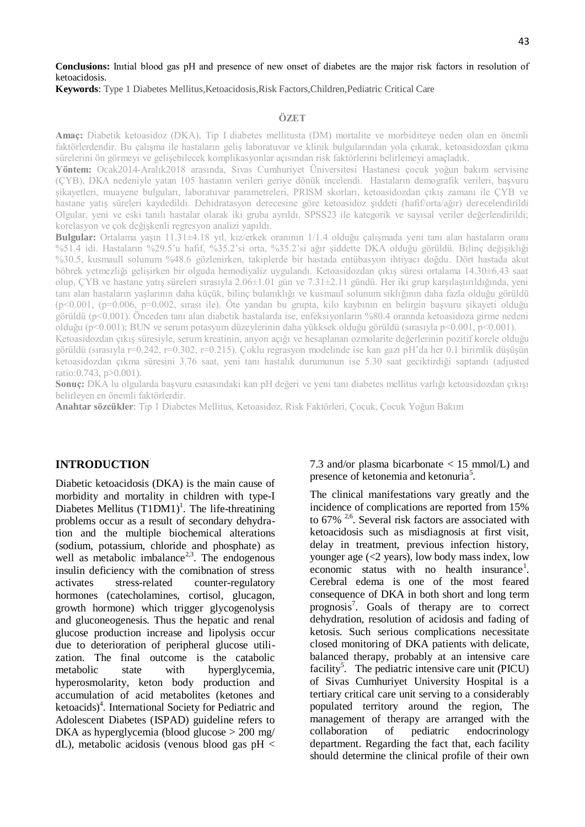## **Conclusions:** Inıtial blood gas pH and presence of new onset of diabetes are the major risk factors in resolution of ketoacidosis.

### **Keywords**: Type 1 Diabetes Mellitus,Ketoacidosis,Risk Factors,Children,Pediatric Critical Care

## **ÖZET**

**Amaç:** Diabetik ketoasidoz (DKA), Tip I diabetes mellitusta (DM) mortalite ve morbiditeye neden olan en önemli faktörlerdendir. Bu çalışma ile hastaların geliş laboratuvar ve klinik bulgularından yola çıkarak, ketoasidozdan çıkma sürelerini ön görmeyi ve gelişebilecek komplikasyonlar açısından risk faktörlerini belirlemeyi amaçladık.

**Yöntem:** Ocak2014-Aralık2018 arasında, Sivas Cumhuriyet Üniversitesi Hastanesi çocuk yoğun bakım servisine (ÇYB), DKA nedeniyle yatan 105 hastanın verileri geriye dönük incelendi. Hastaların demografik verileri, başvuru şikayetleri, muayene bulguları, laboratuvar parametreleri, PRISM skorları, ketoasidozdan çıkış zamanı ile ÇYB ve hastane yatış süreleri kaydedildi. Dehidratasyon derecesine göre ketoasidoz şiddeti (hafif/orta/ağır) derecelendirildi Olgular, yeni ve eski tanılı hastalar olarak iki gruba ayrıldı. SPSS23 ile kategorik ve sayısal veriler değerlendirildi; korelasyon ve çok değişkenli regresyon analizi yapıldı.

**Bulgular:** Ortalama yaşın 11.31±4.18 yıl, kız/erkek oranının 1/1.4 olduğu çalışmada yeni tanı alan hastaların oranı %51.4 idi. Hastaların %29.5'u hafif, %35.2'si orta, %35.2'si ağır şiddette DKA olduğu görüldü. Bilinç değişikliği %30.5, kusmaull solunum %48.6 gözlenirken, takiplerde bir hastada entübasyon ihtiyacı doğdu. Dört hastada akut böbrek yetmezliği gelişirken bir olguda hemodiyaliz uygulandı. Ketoasidozdan çıkış süresi ortalama 14.30±6.43 saat olup, ÇYB ve hastane yatış süreleri sırasıyla 2.06±1.01 gün ve 7.31±2.11 gündü. Her iki grup karşılaştırıldığında, yeni tanı alan hastaların yaşlarının daha küçük, bilinç bulanıklığı ve kusmaul solunum sıklığının daha fazla olduğu görüldü (p<0.001, (p=0.006, p=0.002, sırası ile). Öte yandan bu grupta, kilo kaybının en belirgin başvuru şikayeti olduğu görüldü (p<0.001). Önceden tanı alan diabetik hastalarda ise, enfeksiyonların %80.4 orannda ketoasidoza girme nedeni olduğu (p<0.001); BUN ve serum potasyum düzeylerinin daha yükksek olduğu görüldü (sırasıyla p<0.001, p<0.001).

Ketoasidozdan çıkış süresiyle, serum kreatinin, anyon açığı ve hesaplanan ozmolarite değerlerinin pozitif korele olduğu görüldü (sırasıyla r=0.242, r=0.302, r=0.215). Çoklu regrasyon modelinde ise kan gazı pH'da her 0.1 birimlik düşüşün ketoasidozdan çıkma süresini 3.76 saat, yeni tanı hastalık durumunun ise 5.30 saat geciktirdiği saptandı (adjusted ratio:0.743, p>0.001).

**Sonuç:** DKA lu olgularda başvuru esnasındaki kan pH değeri ve yeni tanı diabetes mellitus varlığı ketoasidozdan çıkışı belirleyen en önemli faktörlerdir.

**Anahtar sözcükler**: Tip 1 Diabetes Mellitus, Ketoasidoz, Risk Faktörleri, Çocuk, Çocuk Yoğun Bakım

## **INTRODUCTION**

Diabetic ketoacidosis (DKA) is the main cause of morbidity and mortality in children with type-I Diabetes Mellitus  $(T1DM1)^1$ . The life-threatining problems occur as a result of secondary dehydration and the multiple biochemical alterations (sodium, potassium, chloride and phosphate) as well as metabolic imbalance<sup>2,3</sup>. The endogenous insulin deficiency with the comibnation of stress activates stress-related counter-regulatory hormones (catecholamines, cortisol, glucagon, growth hormone) which trigger glycogenolysis and gluconeogenesis. Thus the hepatic and renal glucose production increase and lipolysis occur due to deterioration of peripheral glucose utilization. The final outcome is the catabolic metabolic state with hyperglycemia, hyperosmolarity, keton body production and accumulation of acid metabolites (ketones and ketoacids)<sup>4</sup>. International Society for Pediatric and [Adolescent Diabetes \(I](https://www.ispad.org/)SPAD) guideline refers to DKA as hyperglycemia (blood glucose > 200 mg/ dL), metabolic acidosis (venous blood gas  $pH <$  7.3 and/or plasma bicarbonate < 15 mmol/L) and presence of ketonemia and ketonuria<sup>5</sup>.

The clinical manifestations vary greatly and the incidence of complications are reported from 15% to  $67\%$ <sup>2,6</sup>. Several risk factors are associated with ketoacidosis such as misdiagnosis at first visit, delay in treatment, previous infection history, younger age  $\langle$  ( $\langle$ 2 years), low body mass index, low economic status with no health insurance<sup>1</sup>. Cerebral edema is one of the most feared consequence of DKA in both short and long term prognosis<sup>7</sup>. Goals of therapy are to correct dehydration, resolution of acidosis and fading of ketosis. Such serious complications necessitate closed monitoring of DKA patients with delicate, balanced therapy, probably at an intensive care facility<sup>5</sup>. The pediatric intensive care unit (PICU) of Sivas Cumhuriyet University Hospital is a tertiary critical care unit serving to a considerably populated territory around the region, The management of therapy are arranged with the collaboration of pediatric endocrinology department. Regarding the fact that, each facility should determine the clinical profile of their own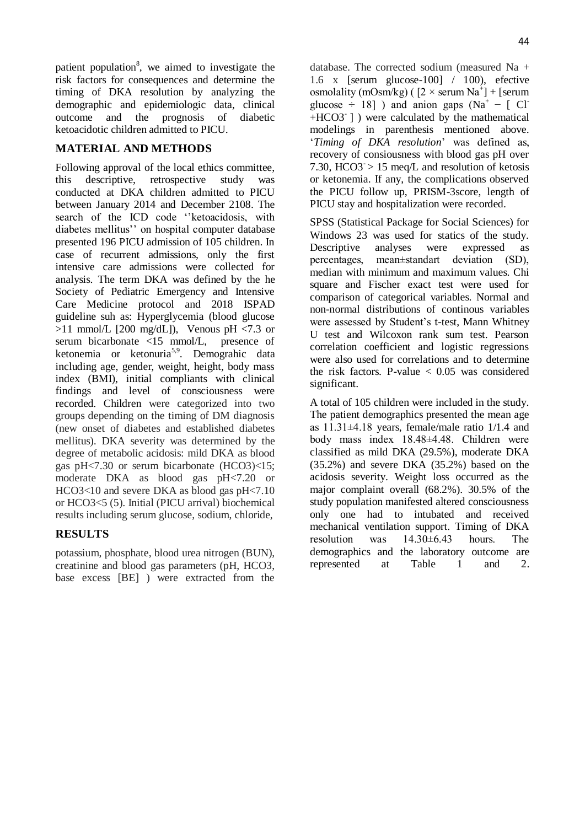patient population<sup>8</sup>, we aimed to investigate the risk factors for consequences and determine the timing of DKA resolution by analyzing the demographic and epidemiologic data, clinical outcome and the prognosis of diabetic ketoacidotic children admitted to PICU.

# **MATERIAL AND METHODS**

Following approval of the local ethics committee, this descriptive, retrospective study was conducted at DKA children admitted to PICU between January 2014 and December 2108. The search of the ICD code ''ketoacidosis, with diabetes mellitus'' on hospital computer database presented 196 PICU admission of 105 children. In case of recurrent admissions, only the first intensive care admissions were collected for analysis. The term DKA was defined by the he Society of Pediatric Emergency and Intensive Care Medicine protocol and 2018 ISPAD guideline suh as: Hyperglycemia (blood glucose  $>11$  mmol/L [200 mg/dL]), Venous pH <7.3 or serum bicarbonate <15 mmol/L, presence of ketonemia or ketonuria<sup>5,9</sup>. Demograhic data including age, gender, weight, height, body mass index (BMI), initial compliants with clinical findings and level of consciousness were recorded. Children were categorized into two groups depending on the timing of DM diagnosis (new onset of diabetes and established diabetes mellitus). DKA severity was determined by the degree of metabolic acidosis: mild DKA as blood gas pH<7.30 or serum bicarbonate (HCO3)<15; moderate DKA as blood gas pH<7.20 or HCO3<10 and severe DKA as blood gas pH<7.10 or HCO3<5 (5). Initial (PICU arrival) biochemical results including serum glucose, sodium, chloride,

## **RESULTS**

potassium, phosphate, blood urea nitrogen (BUN), creatinine and blood gas parameters (pH, HCO3, base excess [BE] ) were extracted from the

database. The corrected sodium (measured Na + 1.6 x [serum glucose-100] / 100), efective osmolality (mOsm/kg) ( $[2 \times$  serum Na<sup>+</sup>] + [serum glucose  $\div$  18] ) and anion gaps (Na<sup>+</sup> – [ Cl<sup>-</sup> +HCO3- ] ) were calculated by the mathematical modelings in parenthesis mentioned above. '*Timing of DKA resolution*' was defined as, recovery of consiousness with blood gas pH over 7.30, HCO3 $\geq$  15 meq/L and resolution of ketosis or ketonemia. If any, the complications observed the PICU follow up, PRISM-3score, length of PICU stay and hospitalization were recorded.

SPSS (Statistical Package for Social Sciences) for Windows 23 was used for statics of the study. Descriptive analyses were expressed as percentages, mean±standart deviation (SD), median with minimum and maximum values. Chi square and Fischer exact test were used for comparison of categorical variables. Normal and non-normal distributions of continous variables were assessed by Student's t-test, Mann Whitney U test and Wilcoxon rank sum test. Pearson correlation coefficient and logistic regressions were also used for correlations and to determine the risk factors. P-value  $< 0.05$  was considered significant.

A total of 105 children were included in the study. The patient demographics presented the mean age as 11.31±4.18 years, female/male ratio 1/1.4 and body mass index 18.48±4.48. Children were classified as mild DKA (29.5%), moderate DKA (35.2%) and severe DKA (35.2%) based on the acidosis severity. Weight loss occurred as the major complaint overall (68.2%). 30.5% of the study population manifested altered consciousness only one had to intubated and received mechanical ventilation support. Timing of DKA resolution was 14.30±6.43 hours. The demographics and the laboratory outcome are<br>represented at Table 1 and 2. represented at Table 1 and 2.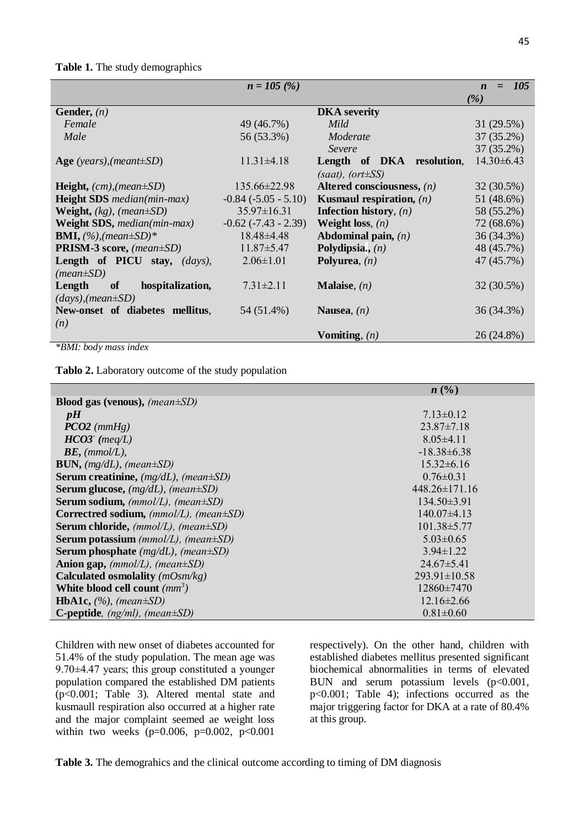## **Table 1.** The study demographics

|                                                | $n = 105$ (%)            |                                   | <i>105</i><br>$=$<br>$\boldsymbol{n}$ |
|------------------------------------------------|--------------------------|-----------------------------------|---------------------------------------|
|                                                |                          |                                   | ( %)                                  |
| Gender, $(n)$                                  |                          | <b>DKA</b> severity               |                                       |
| Female                                         | 49 (46.7%)               | Mild                              | 31(29.5%)                             |
| Male                                           | 56 (53.3%)               | Moderate                          | $37(35.2\%)$                          |
|                                                |                          | Severe                            | 37 (35.2%)                            |
| Age (years), (meant $\pm SD$ )                 | $11.31 \pm 4.18$         | Length of DKA resolution,         | $14.30\pm6.43$                        |
|                                                |                          | $(saat), (ort \pm SS)$            |                                       |
| <b>Height,</b> $(cm)$ , $mean \pm SD)$         | $135.66 \pm 22.98$       | Altered consciousness, $(n)$      | 32 (30.5%)                            |
| <b>Height SDS</b> median(min-max)              | $-0.84$ $(-5.05 - 5.10)$ | <b>Kusmaul respiration,</b> $(n)$ | 51 (48.6%)                            |
| <b>Weight,</b> $(kg)$ , $(\text{mean} \pm SD)$ | $35.97 \pm 16.31$        | <b>Infection history</b> , $(n)$  | 58 (55.2%)                            |
| <b>Weight SDS</b> , median(min-max)            | $-0.62$ $(-7.43 - 2.39)$ | Weight loss, $(n)$                | 72 (68.6%)                            |
| <b>BMI,</b> $(\%)$ , (mean $\pm SD$ )*         | $18.48\pm4.48$           | Abdominal pain, $(n)$             | 36 (34.3%)                            |
| <b>PRISM-3 score,</b> (mean $\pm SD$ )         | $11.87 \pm 5.47$         | Polydipsia., $(n)$                | 48 (45.7%)                            |
| Length of PICU stay, (days),                   | $2.06 \pm 1.01$          | Polyurea, $(n)$                   | 47 (45.7%)                            |
| $(mean \pm SD)$                                |                          |                                   |                                       |
| Length<br>of<br>hospitalization,               | $7.31 \pm 2.11$          | <b>Malaise</b> , $(n)$            | 32 (30.5%)                            |
| $(days)$ , (mean $\pm SD$ )                    |                          |                                   |                                       |
| New-onset of diabetes mellitus,                | 54 (51.4%)               | Nausea, $(n)$                     | 36 (34.3%)                            |
| (n)                                            |                          |                                   |                                       |
|                                                |                          | Vomiting, $(n)$                   | 26 (24.8%)                            |

*\*BMI: body mass index*

**Tablo 2.** Laboratory outcome of the study population

|                                                        | $n\left(\frac{0}{0}\right)$ |
|--------------------------------------------------------|-----------------------------|
| <b>Blood gas (venous), <i>(mean</i></b> $\pm$ SD)      |                             |
| pH                                                     | $7.13 \pm 0.12$             |
| $PCO2$ (mmHg)                                          | $23.87 \pm 7.18$            |
| $HCO3$ (meq/L)                                         | $8.05\pm4.11$               |
| $BE$ , (mmol/L),                                       | $-18.38\pm 6.38$            |
| <b>BUN,</b> (mg/dL), (mean $\pm SD$ )                  | $15.32\pm 6.16$             |
| <b>Serum creatinine,</b> $(mg/dL)$ , $(mean \pm SD)$   | $0.76 \pm 0.31$             |
| <b>Serum glucose,</b> $(mg/dL)$ , $(mean \pm SD)$      | $448.26 \pm 171.16$         |
| <b>Serum sodium,</b> ( $mmol/L$ ), ( $mean \pm SD$ )   | $134.50\pm3.91$             |
| Correctred sodium, $(mmol/L)$ , $(mean \pm SD)$        | $140.07\pm4.13$             |
| <b>Serum chloride,</b> ( $mmol/L$ ), ( $mean \pm SD$ ) | $101.38\pm5.77$             |
| <b>Serum potassium</b> ( $mmol/L$ ), ( $mean \pm SD$ ) | $5.03\pm0.65$               |
| <b>Serum phosphate</b> ( $mg/dL$ ), ( $mean \pm SD$ )  | $3.94\pm1.22$               |
| Anion gap, $(mmol/L)$ , $(mean \pm SD)$                | $24.67\pm5.41$              |
| Calculated osmolality $(mOsm/kg)$                      | $293.91 \pm 10.58$          |
| White blood cell count $(mm^3)$                        | $12860\pm7470$              |
| <b>HbA1c,</b> $(\%)$ , (mean $\pm SD$ )                | $12.16\pm2.66$              |
| <b>C-peptide</b> , $(ng/ml)$ , $(mean \pm SD)$         | $0.81 \pm 0.60$             |

Children with new onset of diabetes accounted for 51.4% of the study population. The mean age was 9.70±4.47 years; this group constituted a younger population compared the established DM patients (p<0.001; Table 3). Altered mental state and kusmaull respiration also occurred at a higher rate and the major complaint seemed ae weight loss within two weeks (p=0.006, p=0.002, p<0.001

respectively). On the other hand, children with established diabetes mellitus presented significant biochemical abnormalities in terms of elevated BUN and serum potassium levels  $(p<0.001,$ p<0.001; Table 4); infections occurred as the major triggering factor for DKA at a rate of 80.4% at this group.

Table 3. The demograhics and the clinical outcome according to timing of DM diagnosis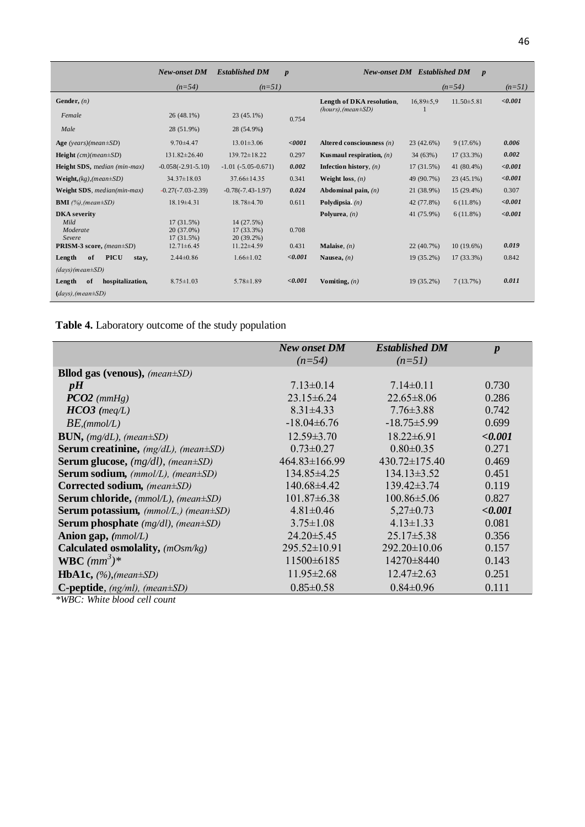|                                                   | New-onset DM                               | <b>Established DM</b>                      | $\boldsymbol{p}$ |                                   | <b>New-onset DM</b> Established DM | $\boldsymbol{p}$ |          |
|---------------------------------------------------|--------------------------------------------|--------------------------------------------|------------------|-----------------------------------|------------------------------------|------------------|----------|
|                                                   | $(n=54)$                                   | $(n=51)$                                   |                  |                                   |                                    | $(n=54)$         | $(n=51)$ |
| Gender, $(n)$                                     |                                            |                                            |                  | Length of DKA resolution,         | $16.89 \pm 5.9$                    | $11.50 \pm 5.81$ | < 0.001  |
| Female                                            | $26(48.1\%)$                               | $23(45.1\%)$                               | 0.754            | $(hours)$ , (mean $\pm SD$ )      |                                    |                  |          |
| Male                                              | 28 (51.9%)                                 | 28 (54.9%)                                 |                  |                                   |                                    |                  |          |
| Age (years)(mean $\pm SD$ )                       | $9.70 + 4.47$                              | $13.01 \pm 3.06$                           | $0001$           | Altered consciousness $(n)$       | $23(42.6\%)$                       | $9(17.6\%)$      | 0.006    |
| <b>Height</b> $(cm)(mean \pm SD)$                 | $131.82 \pm 26.40$                         | $139.72 \pm 18.22$                         | 0.297            | <b>Kusmaul</b> respiration, $(n)$ | 34(63%)                            | 17 (33.3%)       | 0.002    |
| Height SDS, median (min-max)                      | $-0.058(-2.91-5.10)$                       | $-1.01$ $(-5.05 - 0.671)$                  | 0.002            | <b>Infection history</b> , $(n)$  | $17(31.5\%)$                       | 41 (80.4%)       | < 0.001  |
| $Weight_{s}(kg), (mean \pm SD)$                   | $34.37 \pm 18.03$                          | $37.66 \pm 14.35$                          | 0.341            | Weight loss, $(n)$                | 49 (90.7%)                         | $23(45.1\%)$     | < 0.001  |
| Weight SDS, median(min-max)                       | $-0.27(-7.03-2.39)$                        | $-0.78(-7.43-1.97)$                        | 0.024            | Abdominal pain, $(n)$             | 21 (38.9%)                         | $15(29.4\%)$     | 0.307    |
| <b>BMI</b> $(%)$ , (mean $\pm SD$ )               | $18.19\pm4.31$                             | $18.78 \pm 4.70$                           | 0.611            | Polydipsia. $(n)$                 | 42 (77.8%)                         | $6(11.8\%)$      | < 0.001  |
| <b>DKA</b> severity<br>Mild<br>Moderate<br>Severe | $17(31.5\%)$<br>20 (37.0%)<br>$17(31.5\%)$ | 14 (27.5%)<br>$17(33.3\%)$<br>$20(39.2\%)$ | 0.708            | Polyurea, $(n)$                   | 41 (75.9%)                         | $6(11.8\%)$      | < 0.001  |
| PRISM-3 score, (mean±SD)                          | $12.71 \pm 6.45$                           | $11.22 \pm 4.59$                           | 0.431            | Malaise, $(n)$                    | $22(40.7\%)$                       | $10(19.6\%)$     | 0.019    |
| <b>PICU</b><br>Length<br>of<br>stay,              | $2.44\pm0.86$                              | $1.66 \pm 1.02$                            | < 0.001          | Nausea, $(n)$                     | 19 (35.2%)                         | 17 (33.3%)       | 0.842    |
| $(days)(mean \pm SD)$                             |                                            |                                            |                  |                                   |                                    |                  |          |
| Length<br>of<br>hospitalization,                  | $8.75 \pm 1.03$                            | $5.78 \pm 1.89$                            | < 0.001          | Vomiting, $(n)$                   | 19 (35.2%)                         | 7(13.7%)         | 0.011    |
| $(days)$ , (mean $\pm SD$ )                       |                                            |                                            |                  |                                   |                                    |                  |          |

**Table 4.** Laboratory outcome of the study population

|                                                      | <b>New onset DM</b> | <b>Established DM</b> | $\boldsymbol{p}$ |
|------------------------------------------------------|---------------------|-----------------------|------------------|
|                                                      | $(n=54)$            | $(n=51)$              |                  |
| <b>Bllod gas (venous),</b> (mean $\pm SD$ )          |                     |                       |                  |
| pH                                                   | $7.13 \pm 0.14$     | $7.14\pm0.11$         | 0.730            |
| $PCO2$ (mmHg)                                        | $23.15\pm 6.24$     | $22.65 \pm 8.06$      | 0.286            |
| $HCO3$ (meq/L)                                       | $8.31 \pm 4.33$     | $7.76 \pm 3.88$       | 0.742            |
| $BE$ , (mmol/L)                                      | $-18.04\pm 6.76$    | $-18.75 \pm 5.99$     | 0.699            |
| <b>BUN,</b> $(mg/dL)$ , $(mean \pm SD)$              | $12.59 \pm 3.70$    | $18.22 \pm 6.91$      | < 0.001          |
| Serum creatinine, (mg/dL), (mean±SD)                 | $0.73 \pm 0.27$     | $0.80 \pm 0.35$       | 0.271            |
| <b>Serum glucose,</b> $(mg/dl)$ , $(mean \pm SD)$    | $464.83 \pm 166.99$ | $430.72 \pm 175.40$   | 0.469            |
| <b>Serum sodium,</b> ( $mmol/L$ ), ( $mean \pm SD$ ) | 134.85±4.25         | $134.13 \pm 3.52$     | 0.451            |
| Corrected sodium, (mean±SD)                          | 140.68±4.42         | $139.42 \pm 3.74$     | 0.119            |
| <b>Serum chloride,</b> (mmol/L), (mean±SD)           | $101.87\pm 6.38$    | $100.86 \pm 5.06$     | 0.827            |
| <b>Serum potassium,</b> (mmol/L,) (mean±SD)          | $4.81 \pm 0.46$     | $5,27\pm0.73$         | < 0.001          |
| <b>Serum phosphate</b> $(mg/dl)$ , $(mean \pm SD)$   | $3.75 \pm 1.08$     | $4.13 \pm 1.33$       | 0.081            |
| Anion gap, $(mmol/L)$                                | $24.20 \pm 5.45$    | $25.17 \pm 5.38$      | 0.356            |
| Calculated osmolality, (mOsm/kg)                     | $295.52 \pm 10.91$  | $292.20 \pm 10.06$    | 0.157            |
| WBC $(mm^3)^*$                                       | $11500 \pm 6185$    | 14270±8440            | 0.143            |
| <b>HbA1c,</b> $(\%)$ , (mean $\pm SD$ )              | $11.95 \pm 2.68$    | $12.47 \pm 2.63$      | 0.251            |
| C-peptide, (ng/ml), (mean±SD)<br>$\cdots$            | $0.85 \pm 0.58$     | $0.84 \pm 0.96$       | 0.111            |

*\*WBC: White blood cell count*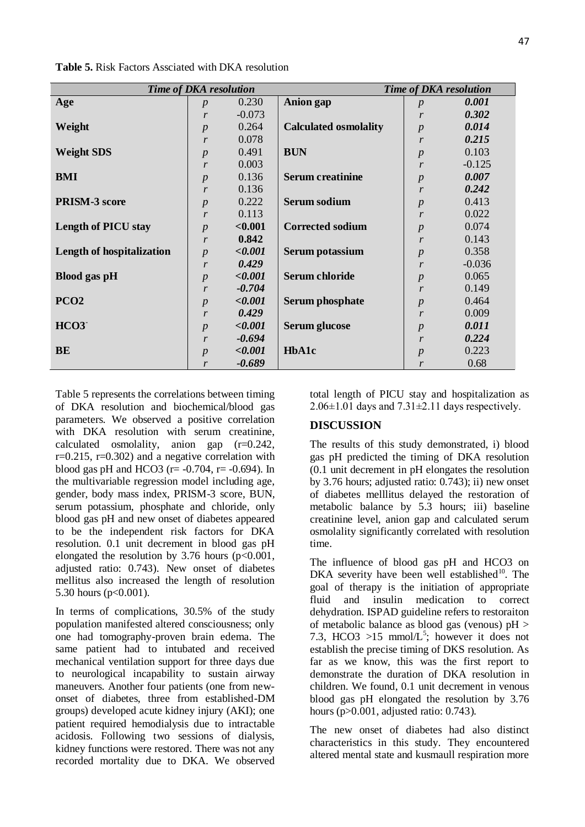| Time of DKA resolution           |                  |                |                              | <b>Time of DKA resolution</b> |          |  |
|----------------------------------|------------------|----------------|------------------------------|-------------------------------|----------|--|
| Age                              | $\boldsymbol{p}$ | 0.230          | <b>Anion</b> gap             | $\boldsymbol{p}$              | 0.001    |  |
|                                  | r                | $-0.073$       |                              | r                             | 0.302    |  |
| Weight                           | $\boldsymbol{p}$ | 0.264          | <b>Calculated osmolality</b> | $\boldsymbol{p}$              | 0.014    |  |
|                                  | $\mathbf{r}$     | 0.078          |                              | $\mathbf{r}$                  | 0.215    |  |
| <b>Weight SDS</b>                | $\boldsymbol{p}$ | 0.491          | <b>BUN</b>                   | $\boldsymbol{p}$              | 0.103    |  |
|                                  | r                | 0.003          |                              | $\boldsymbol{r}$              | $-0.125$ |  |
| <b>BMI</b>                       | $\boldsymbol{p}$ | 0.136          | <b>Serum creatinine</b>      | $\boldsymbol{p}$              | 0.007    |  |
|                                  | $\mathbf{r}$     | 0.136          |                              | $\mathbf{r}$                  | 0.242    |  |
| <b>PRISM-3 score</b>             | $\boldsymbol{p}$ | 0.222          | <b>Serum sodium</b>          | $\overline{p}$                | 0.413    |  |
|                                  | r                | 0.113          |                              | $\boldsymbol{r}$              | 0.022    |  |
| <b>Length of PICU stay</b>       | $\boldsymbol{p}$ | < 0.001        | <b>Corrected sodium</b>      | $\boldsymbol{p}$              | 0.074    |  |
|                                  | $\mathcal{r}$    | 0.842          |                              | r                             | 0.143    |  |
| <b>Length of hospitalization</b> | $\boldsymbol{p}$ | < 0.001        | Serum potassium              | $\boldsymbol{p}$              | 0.358    |  |
|                                  | r                | 0.429          |                              | $\mathbf{r}$                  | $-0.036$ |  |
| <b>Blood</b> gas pH              | $\boldsymbol{p}$ | < 0.001        | Serum chloride               | $\boldsymbol{p}$              | 0.065    |  |
|                                  | r                | $-0.704$       |                              | $\boldsymbol{r}$              | 0.149    |  |
| PCO <sub>2</sub>                 | $\boldsymbol{p}$ | < 0.001        | <b>Serum phosphate</b>       | $\overline{p}$                | 0.464    |  |
|                                  | r                | 0.429          |                              | r                             | 0.009    |  |
| HCO3                             | $\boldsymbol{p}$ | $<\!\!\!0.001$ | <b>Serum glucose</b>         | $\boldsymbol{p}$              | 0.011    |  |
|                                  | $\mathbf{r}$     | $-0.694$       |                              | $\mathbf{r}$                  | 0.224    |  |
| BE                               | $\overline{p}$   | < 0.001        | HbA1c                        | $\boldsymbol{p}$              | 0.223    |  |
|                                  | $\mathcal{r}$    | $-0.689$       |                              | r                             | 0.68     |  |

**Table 5.** Risk Factors Assciated with DKA resolution

Table 5 represents the correlations between timing of DKA resolution and biochemical/blood gas parameters. We observed a positive correlation with DKA resolution with serum creatinine, calculated osmolality, anion gap (r=0.242,  $r=0.215$ ,  $r=0.302$ ) and a negative correlation with blood gas pH and HCO3 ( $r = -0.704$ ,  $r = -0.694$ ). In the multivariable regression model including age, gender, body mass index, PRISM-3 score, BUN, serum potassium, phosphate and chloride, only blood gas pH and new onset of diabetes appeared to be the independent risk factors for DKA resolution. 0.1 unit decrement in blood gas pH elongated the resolution by  $3.76$  hours (p<0.001, adjusted ratio: 0.743). New onset of diabetes mellitus also increased the length of resolution 5.30 hours (p<0.001).

In terms of complications, 30.5% of the study population manifested altered consciousness; only one had tomography-proven brain edema. The same patient had to intubated and received mechanical ventilation support for three days due to neurological incapability to sustain airway maneuvers. Another four patients (one from newonset of diabetes, three from established-DM groups) developed acute kidney injury (AKI); one patient required hemodialysis due to intractable acidosis. Following two sessions of dialysis, kidney functions were restored. There was not any recorded mortality due to DKA. We observed

total length of PICU stay and hospitalization as  $2.06\pm1.01$  days and  $7.31\pm2.11$  days respectively.

## **DISCUSSION**

The results of this study demonstrated, i) blood gas pH predicted the timing of DKA resolution (0.1 unit decrement in pH elongates the resolution by 3.76 hours; adjusted ratio: 0.743); ii) new onset of diabetes melllitus delayed the restoration of metabolic balance by 5.3 hours; iii) baseline creatinine level, anion gap and calculated serum osmolality significantly correlated with resolution time.

The influence of blood gas pH and HCO3 on DKA severity have been well established<sup>10</sup>. The goal of therapy is the initiation of appropriate fluid and insulin medication to correct dehydration. ISPAD guideline refers to restoraiton of metabolic balance as blood gas (venous) pH > 7.3, HCO3 >15 mmol/ $L^5$ ; however it does not establish the precise timing of DKS resolution. As far as we know, this was the first report to demonstrate the duration of DKA resolution in children. We found, 0.1 unit decrement in venous blood gas pH elongated the resolution by 3.76 hours (p>0.001, adjusted ratio: 0.743).

The new onset of diabetes had also distinct characteristics in this study. They encountered altered mental state and kusmaull respiration more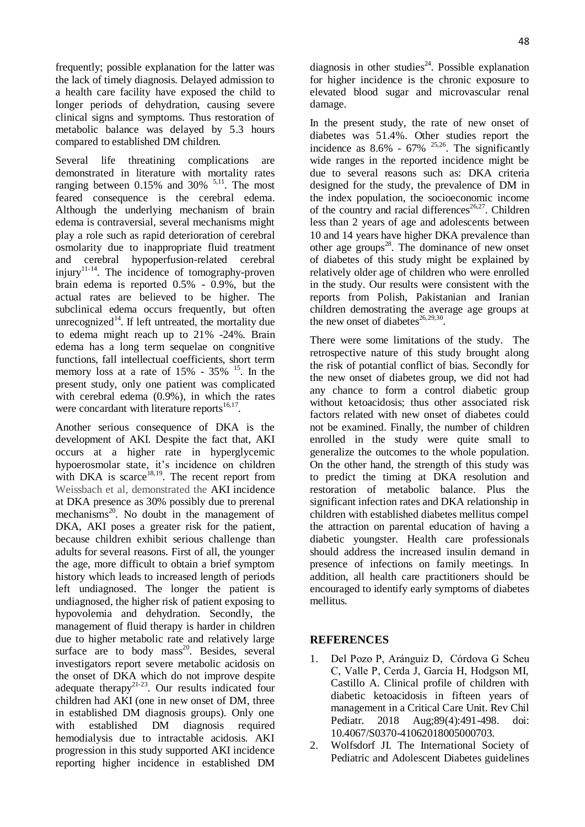frequently; possible explanation for the latter was the lack of timely diagnosis. Delayed admission to a health care facility have exposed the child to longer periods of dehydration, causing severe clinical signs and symptoms. Thus restoration of metabolic balance was delayed by 5.3 hours compared to established DM children.

Several life threatining complications are demonstrated in literature with mortality rates ranging between  $0.15\%$  and  $30\%$  <sup>5,11</sup>. The most feared consequence is the cerebral edema. Although the underlying mechanism of brain edema is contraversial, several mechanisms might play a role such as rapid deterioration of cerebral osmolarity due to inappropriate fluid treatment and cerebral hypoperfusion-related cerebral injury<sup>11-14</sup>. The incidence of tomography-proven brain edema is reported 0.5% - 0.9%, but the actual rates are believed to be higher. The subclinical edema occurs frequently, but often unrecognized<sup>14</sup>. If left untreated, the mortality due to edema might reach up to 21% -24%. Brain edema has a long term sequelae on congnitive functions, fall intellectual coefficients, short term memory loss at a rate of  $15\%$  -  $35\%$  <sup>15</sup>. In the present study, only one patient was complicated with cerebral edema (0.9%), in which the rates were concardant with literature reports $16,17$ .

Another serious consequence of DKA is the development of AKI. Despite the fact that, AKI occurs at a higher rate in hyperglycemic hypoerosmolar state, it's incidence on children with DKA is scarce<sup>18,19</sup>. The recent report from Weissbach et al, demonstrated the AKI incidence at DKA presence as 30% possibly due to prerenal mechanisms $^{20}$ . No doubt in the management of DKA, AKI poses a greater risk for the patient, because children exhibit serious challenge than adults for several reasons. First of all, the younger the age, more difficult to obtain a brief symptom history which leads to increased length of periods left undiagnosed. The longer the patient is undiagnosed, the higher risk of patient exposing to hypovolemia and dehydration. Secondly, the management of fluid therapy is harder in children due to higher metabolic rate and relatively large surface are to body mass<sup>20</sup>. Besides, several investigators report severe metabolic acidosis on the onset of DKA which do not improve despite adequate therapy<sup>21-23</sup>. Our results indicated four children had AKI (one in new onset of DM, three in established DM diagnosis groups). Only one with established DM diagnosis required hemodialysis due to intractable acidosis. AKI progression in this study supported AKI incidence reporting higher incidence in established DM

diagnosis in other studies<sup>24</sup>. Possible explanation for higher incidence is the chronic exposure to elevated blood sugar and microvascular renal damage.

In the present study, the rate of new onset of diabetes was 51.4%. Other studies report the incidence as  $8.6\%$  -  $67\%$  <sup>25,26</sup>. The significantly wide ranges in the reported incidence might be due to several reasons such as: DKA criteria designed for the study, the prevalence of DM in the index population, the socioeconomic income of the country and racial differences<sup>26,27</sup>. Children less than 2 years of age and adolescents between 10 and 14 years have higher DKA prevalence than other age groups<sup>28</sup>. The dominance of new onset of diabetes of this study might be explained by relatively older age of children who were enrolled in the study. Our results were consistent with the reports from Polish, Pakistanian and Iranian children demostrating the average age groups at the new onset of diabetes<sup>26,29,30</sup>.

There were some limitations of the study. The retrospective nature of this study brought along the risk of potantial conflict of bias. Secondly for the new onset of diabetes group, we did not had any chance to form a control diabetic group without ketoacidosis; thus other associated risk factors related with new onset of diabetes could not be examined. Finally, the number of children enrolled in the study were quite small to generalize the outcomes to the whole population. On the other hand, the strength of this study was to predict the timing at DKA resolution and restoration of metabolic balance. Plus the significant infection rates and DKA relationship in children with established diabetes mellitus compel the attraction on parental education of having a diabetic youngster. Health care professionals should address the increased insulin demand in presence of infections on family meetings. In addition, all health care practitioners should be encouraged to identify early symptoms of diabetes mellitus.

## **REFERENCES**

- 1. Del Pozo P, Aránguiz D, Córdova G Scheu C, Valle P, Cerda J, García H, Hodgson MI, Castillo A. Clinical profile of children with diabetic ketoacidosis in fifteen years of management in a Critical Care Unit. Rev Chil Pediatr. 2018 Aug;89(4):491-498. doi: 10.4067/S0370-41062018005000703.
- 2. Wolfsdorf JI. The International Society of Pediatric and Adolescent Diabetes guidelines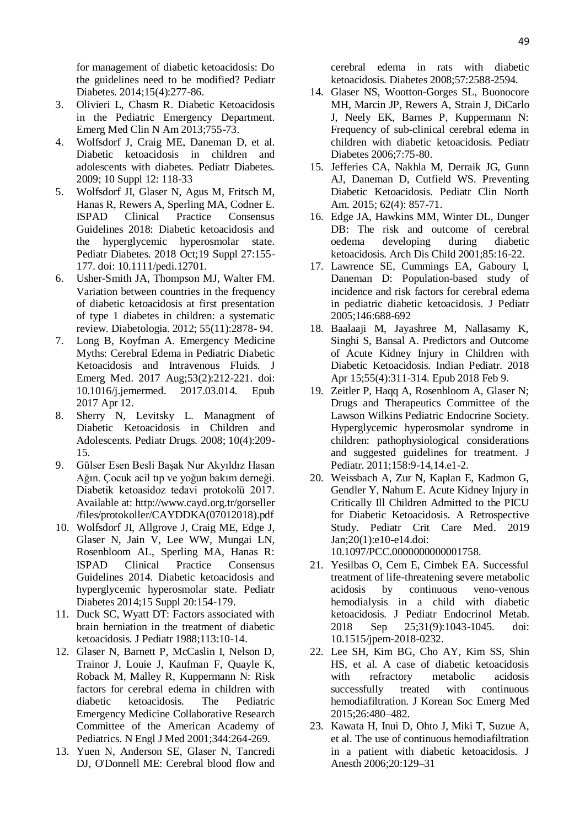for management of diabetic ketoacidosis: Do the guidelines need to be modified? Pediatr Diabetes. 2014;15(4):277-86.

- 3. Olivieri L, Chasm R. Diabetic Ketoacidosis in the Pediatric Emergency Department. Emerg Med Clin N Am 2013;755-73.
- 4. Wolfsdorf J, Craig ME, Daneman D, et al. Diabetic ketoacidosis in children and adolescents with diabetes. Pediatr Diabetes. 2009; 10 Suppl 12: 118-33
- 5. Wolfsdorf JI, Glaser N, Agus M, Fritsch M, Hanas R, Rewers A, Sperling MA, Codner E. ISPAD Clinical Practice Consensus Guidelines 2018: Diabetic ketoacidosis and the hyperglycemic hyperosmolar state. Pediatr Diabetes. 2018 Oct;19 Suppl 27:155- 177. doi: 10.1111/pedi.12701.
- 6. Usher-Smith JA, Thompson MJ, Walter FM. Variation between countries in the frequency of diabetic ketoacidosis at first presentation of type 1 diabetes in children: a systematic review. Diabetologia. 2012; 55(11):2878- 94.
- 7. Long B, Koyfman A. Emergency Medicine Myths: Cerebral Edema in Pediatric Diabetic Ketoacidosis and Intravenous Fluids. J Emerg Med. 2017 Aug;53(2):212-221. doi: 10.1016/j.jemermed. 2017.03.014. Epub 2017 Apr 12.
- 8. Sherry N, Levitsky L. Managment of Diabetic Ketoacidosis in Children and Adolescents. Pediatr Drugs. 2008; 10(4):209- 15.
- 9. Gülser Esen Besli Başak Nur Akyıldız Hasan Ağın. Çocuk acil tıp ve yoğun bakım derneği. Diabetik ketoasidoz tedavi protokolü 2017. Available at: http://www.cayd.org.tr/gorseller /files/protokoller/CAYDDKA(07012018).pdf
- 10. Wolfsdorf JI, Allgrove J, Craig ME, Edge J, Glaser N, Jain V, Lee WW, Mungai LN, Rosenbloom AL, Sperling MA, Hanas R: ISPAD Clinical Practice Consensus Guidelines 2014. Diabetic ketoacidosis and hyperglycemic hyperosmolar state. Pediatr Diabetes 2014;15 Suppl 20:154-179.
- 11. Duck SC, Wyatt DT: Factors associated with brain herniation in the treatment of diabetic ketoacidosis. J Pediatr 1988;113:10-14.
- 12. Glaser N, Barnett P, McCaslin I, Nelson D, Trainor J, Louie J, Kaufman F, Quayle K, Roback M, Malley R, Kuppermann N: Risk factors for cerebral edema in children with diabetic ketoacidosis. The Pediatric Emergency Medicine Collaborative Research Committee of the American Academy of Pediatrics. N Engl J Med 2001;344:264-269.
- 13. Yuen N, Anderson SE, Glaser N, Tancredi DJ, O'Donnell ME: Cerebral blood flow and

cerebral edema in rats with diabetic ketoacidosis. Diabetes 2008;57:2588-2594.

- 14. Glaser NS, Wootton-Gorges SL, Buonocore MH, Marcin JP, Rewers A, Strain J, DiCarlo J, Neely EK, Barnes P, Kuppermann N: Frequency of sub-clinical cerebral edema in children with diabetic ketoacidosis. Pediatr Diabetes 2006;7:75-80.
- 15. Jefferies CA, Nakhla M, Derraik JG, Gunn AJ, Daneman D, Cutfield WS. Preventing Diabetic Ketoacidosis. Pediatr Clin North Am. 2015; 62(4): 857-71.
- 16. Edge JA, Hawkins MM, Winter DL, Dunger DB: The risk and outcome of cerebral oedema developing during diabetic ketoacidosis. Arch Dis Child 2001;85:16-22.
- 17. Lawrence SE, Cummings EA, Gaboury I, Daneman D: Population-based study of incidence and risk factors for cerebral edema in pediatric diabetic ketoacidosis. J Pediatr 2005;146:688-692
- 18. Baalaaji M, Jayashree M, Nallasamy K, Singhi S, Bansal A. Predictors and Outcome of Acute Kidney Injury in Children with Diabetic Ketoacidosis. Indian Pediatr. 2018 Apr 15;55(4):311-314. Epub 2018 Feb 9.
- 19. Zeitler P, Haqq A, Rosenbloom A, Glaser N; Drugs and Therapeutics Committee of the Lawson Wilkins Pediatric Endocrine Society. Hyperglycemic hyperosmolar syndrome in children: pathophysiological considerations and suggested guidelines for treatment. J Pediatr. 2011;158:9-14,14.e1-2.
- 20. Weissbach A, Zur N, Kaplan E, Kadmon G, Gendler Y, Nahum E. Acute Kidney Injury in Critically Ill Children Admitted to the PICU for Diabetic Ketoacidosis. A Retrospective Study. Pediatr Crit Care Med. 2019 Jan;20(1):e10-e14.doi: 10.1097/PCC.0000000000001758.
- 21. Yesilbas O, Cem E, Cimbek EA. Successful treatment of life-threatening severe metabolic acidosis by continuous veno-venous hemodialysis in a child with diabetic ketoacidosis. J Pediatr Endocrinol Metab. 2018 Sep 25;31(9):1043-1045. doi: 10.1515/jpem-2018-0232.
- 22. Lee SH, Kim BG, Cho AY, Kim SS, Shin HS, et al. A case of diabetic ketoacidosis with refractory metabolic acidosis successfully treated with continuous hemodiafiltration. J Korean Soc Emerg Med 2015;26:480–482.
- 23. Kawata H, Inui D, Ohto J, Miki T, Suzue A, et al. The use of continuous hemodiafiltration in a patient with diabetic ketoacidosis. J Anesth 2006;20:129–31